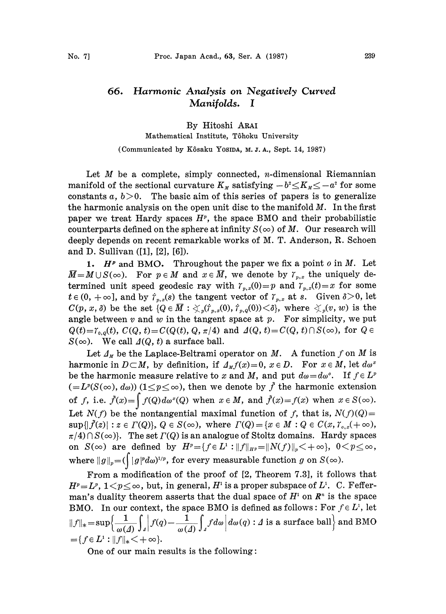## 66. Harmonic Analysis on Negatively Curved Manifolds. I

By Hitoshi ARAI Mathematical Institute, T6hoku University

(Communicated by Kôsaku Yosipa, M.J.A., Sept. 14, 1987)

Let  $M$  be a complete, simply connected, *n*-dimensional Riemannian manifold of the sectional curvature  $K_M$  satisfying  $-b^2 \leq K_M \leq -a^2$  for some constants  $a, b>0$ . The basic aim of this series of papers is to generalize the harmonic analysis on the open unit disc to the manifold  $M$ . In the first paper we treat Hardy spaces  $H<sup>p</sup>$ , the space BMO and their probabilistic counterparts defined on the sphere at infinity  $S(\infty)$  of M. Our research will deeply depends on recent remarkable works of M. T. Anderson, R. Schoen and D. Sullivan ([1], [2], [6]).

1.  $H^p$  and BMO. Throughout the paper we fix a point  $o$  in  $M$ . Let  $\overline{M} = M \cup S(\infty)$ . For  $p \in M$  and  $x \in \overline{M}$ , we denote by  $\gamma_{p,x}$  the uniquely determined unit speed geodesic ray with  $\gamma_{p,x}(0)=p$  and  $\gamma_{p,x}(t)=x$  for some  $t \in (0, +\infty]$ , and by  $\dot{r}_{v,x}(s)$  the tangent vector of  $\dot{r}_{v,x}$  at s. Given  $\delta > 0$ , let  $C(p, x, \delta)$  be the set  ${Q \in \overline{M} : \text{S}_{p}(i_{p,x}(0), i_{p,q}(0)) \leq \delta}$ , where  $\text{S}_{p}(v, w)$  is the angle between  $v$  and  $w$  in the tangent space at  $p$ . For simplicity, we put  $Q(t)=\gamma_{0,q}(t), C(Q, t)=C(Q(t), Q, \pi/4)$  and  $\Delta(Q, t)=C(Q, t)\cap S(\infty)$ , for  $Q \in$  $S(\infty)$ . We call  $\Delta(Q, t)$  a surface ball.

Let  $\Lambda_M$  be the Laplace-Beltrami operator on M. A function f on M is harmonic in  $D\subset M$ , by definition, if  $\Delta_M f(x)=0$ ,  $x\in D$ . For  $x\in M$ , let  $d\omega^x$ be the harmonic measure relative to x and M, and put  $d\omega = d\omega^{\circ}$ . If  $f \in L^p$  $(=L^p(S(\infty), d\omega))$   $(1 \leq p \leq \infty)$ , then we denote by  $\tilde{f}$  the harmonic extension of f, i.e.  $\tilde{f}(x)=\int f(Q) d\omega^{x}(Q)$  when  $x \in M$ , and  $\tilde{f}(x)=f(x)$  when  $x \in S(\infty)$ . Let  $N(f)$  be the nontangential maximal function of f, that is,  $N(f)(Q)$ =  $\sup\{\vert \tilde{f}(z)\vert : z \in \Gamma(Q)\},\ Q \in S(\infty),\ \text{where}\ \Gamma(Q) = \{x \in M : Q \in C(x,\gamma_{0,x}(+\infty),\}$  $\pi/4$ )  $\cap$   $S(\infty)$ . The set  $\Gamma(Q)$  is an analogue of Stoltz domains. Hardy spaces on  $S(\infty)$  are defined by  $H^p = \{f \in L^1 : ||f||_{H^p} = ||N(f)||_p < +\infty\}, 0 < p \leq \infty$ , where  $||g||_p = (\int |g|^p d\omega)^{1/p}$ , for every measurable function g on  $S(\infty)$ .

From a modification of the proof of [2, Theorem 7.3], it follows that  $H^p = L^p$ ,  $1 < p \le \infty$ , but, in general,  $H^1$  is a proper subspace of  $L^1$ . C. Fefferman's duality theorem asserts that the dual space of  $H<sup>1</sup>$  on  $\mathbb{R}^n$  is the space BMO. In our context, the space BMO is defined as follows: For  $f \in L^1$ , let  $||f||_* = \sup \Biggl\{ \frac{1}{\omega(\Delta)} \int_A \Biggl| f(q) - \frac{1}{\omega(\Delta)} \int_A f d\omega \Biggr| d\omega(q) : \Delta \text{ is a surface ball} \Biggr\}$  and BMO  $=\{f \in L^1 : ||f||_* < +\infty\}.$ 

One of our main results is the following: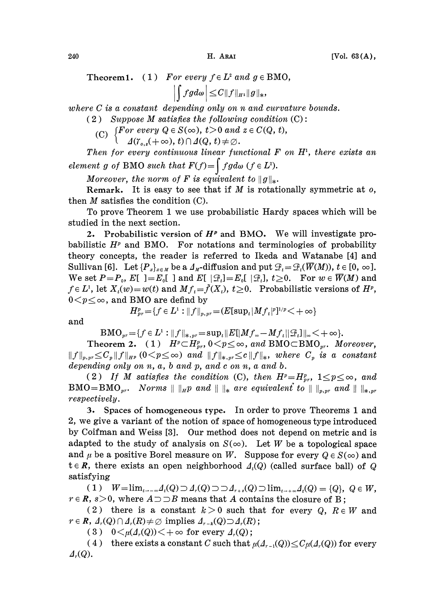Theorem1. (1) For every  $f \in L^2$  and  $g \in BMO$ ,

 $\left|\int fg d\omega\right| \leq C\|f\|_{H^1}\|g\|_*,$ 

where C is a constant depending only on n and curvature bounds.

- $(2)$  Suppose M satisfies the following condition  $(C)$ :
	- (C)  $\begin{cases} For every \ Q \in S(\infty), \ t > 0 \ and \ z \in C(Q, t), \end{cases}$

 $\cup$   $\Delta(\Upsilon_{o,z}(+\infty), t) \cap \Delta(Q, t) \neq \emptyset.$ 

Then for every continuous linear functional  $F$  on  $H<sup>1</sup>$ , there exists an element g of BMO such that  $F(f) = \int f g d\omega$   $(f \in L^2)$ .

Moreover, the norm of F is equivalent to  $||g||_*$ .

Remark. It is easy to see that if  $M$  is rotationally symmetric at  $o$ , then  $M$  satisfies the condition  $(C)$ .

To prove Theorem <sup>1</sup> we use probabilistic Hardy spaces which will be studied in the next section.

2. Probabilistic version of  $H^p$  and BMO. We will investigate probabilistic  $H<sup>p</sup>$  and BMO. For notations and terminologies of probability theory concepts, the reader is referred to Ikeda and Watanabe [4] and Sullivan [6]. Let  $\{P_x\}_{x \in M}$  be a  $\Lambda_M$ -diffusion and put  $\mathcal{F}_t = \mathcal{F}_t(\overline{W}(M))$ ,  $t \in [0, \infty]$ .  $\begin{split} &\mathcal{F}_t\!=\!\mathcal{F}_t(\overline{W}(M)),\,t\!\in\![0,\,\infty].\ &\geq\!0. \quad\text{For}\; w\in\overline{W}(M)\; \text{and} \ &\text{babilistic versions of}\; H^p, \end{split}$ We set  $P=P_o$ ,  $E[$  ]= $E_o[$  ] and  $E[$   $|\mathcal{F}_t]=E_o[$   $|\mathcal{F}_t],$   $t\geq 0$ . For  $w\in \overline{W}(M)$  and  $f \in L^1$ , let  $X_i(w) = w(t)$  and  $Mf_t = \tilde{f}(X_t)$ ,  $t \geq 0$ . Probabilistic versions of  $H^p$ ,  $0 < p \leq \infty$ , and BMO are defind by

$$
H^p_{pr}\!=\!\{f\in L^1: \! \|f\|_{p, pr}\!=\!(E[\sup\nolimits_t|Mf_t|^p]^{1/p}\!<\!+\infty\}
$$

and

 $BMO_{pr} = \{f \in L^1 : ||f||_{*,pr} = \sup_t ||E[|Mf_{\infty} - Mf_t||\mathcal{F}_t]||_{\infty} < +\infty\}.$ 

Theorem 2. (1)  $H^p \subset H^p_{pr}$ ,  $0 \le p \le \infty$ , and BMOCBMO<sub>pr</sub>. Moreover,  $||f||_{p,pr} \leq C_p ||f||_{H^p}$   $(0 \leq p \leq \infty)$  and  $||f||_{*,pr} \leq c ||f||_*$ , where  $C_p$  is a constant depending only on  $n, a, b$  and  $p, and c$  on  $n, a$  and  $b.$ 

(2) If M satisfies the condition (C), then  $H^p = H_{pr}^p$ ,  $1 \leq p \leq \infty$ , and  $BMO=BMO_{pr}$ . Norms  $|| \cdot ||_Hp$  and  $|| \cdot ||_*$  are equivalent to  $|| \cdot ||_{p,pr}$  and  $|| \cdot ||_{*,pr}$ respectively.

3. Spaces of homogeneous type. In order to prove Theorems 1 and 2, we give a variant of the notion of space of homogeneous type introduced by Coifman and Weiss [3]. Our method does not depend on metric and is adapted to the study of analysis on  $S(\infty)$ . Let W be a topological space and  $\mu$  be a positive Borel measure on W. Suppose for every  $Q \in S(\infty)$  and  $t \in R$ , there exists an open neighborhood  $\Lambda_i(Q)$  (called surface ball) of Q satisfying

( 1 )  $W = \lim_{t \to -\infty} \Lambda_t(Q) \supset \Lambda_t(Q) \supset \Lambda_{r+s}(Q) \supset \lim_{t \to +\infty} \Lambda_t(Q) = \{Q\}, Q \in W$ ,  $r \in \mathbb{R}$ ,  $s>0$ , where  $A \supset B$  means that A contains the closure of B;

(2) there is a constant  $k>0$  such that for every Q,  $R \in W$  and  $r \in \mathbb{R}$ ,  $\Delta_r(Q) \cap \Delta_r(R) \neq \emptyset$  implies  $\Delta_{r-k}(Q) \supset \Delta_r(R)$ ;

( 3 )  $0 \leq \mu(\Lambda_r(Q)) \leq +\infty$  for every  $\Lambda_r(Q)$ ;

(4) there exists a constant C such that  $\mu(\Lambda_{r-1}(Q)) \leq C \mu(\Lambda_r(Q))$  for every  $\Delta_r(Q)$ .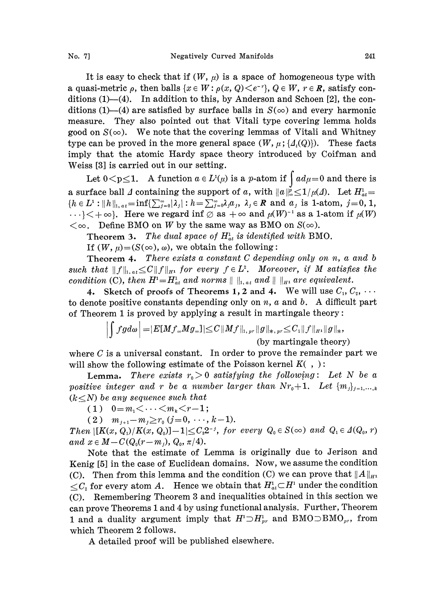It is easy to check that if  $(W, \mu)$  is a space of homogeneous type with a quasi-metric  $\rho$ , then balls  $\{x \in W : \rho(x, Q) \leq e^{-r}\}, Q \in W, r \in \mathbb{R}$ , satisfy conditions  $(1)$ — $(4)$ . In addition to this, by Anderson and Schoen [2], the conditions (1)–(4) are satisfied by surface balls in  $S(\infty)$  and every harmonic measure. They also pointed out that Vitali type covering lemma holds good on  $S(\infty)$ . We note that the covering lemmas of Vitali and Whitney type can be proved in the more general space  $(W, \mu; \{A_t(Q)\})$ . These facts imply that the atomic Hardy space theory introduced by Coifman and Weiss [3] is carried out in our setting.

Let  $0 < p \le 1$ . A function  $a \in L^1(\mu)$  is a p-atom if  $\int a d\mu = 0$  and there is a surface ball  $\Delta$  containing the support of a, with  $||a||_{\infty}^{\rho} \leq 1/\mu(\Delta)$ . Let  $H_{at}$  ${h \in L^1 : ||h||_{1,at}=\inf{\sum_{j=0}^{\infty} |\lambda_j| : h=\sum_{j=0}^{\infty} \lambda_j a_j, \lambda_j \in R \text{ and } a_j \text{ is 1-atom, } j=0, 1,$  $\{X \} \subset \{x \}$ . Here we regard inf  $\emptyset$  as  $+\infty$  and  $\mu(W)^{-1}$  as a 1-atom if  $\mu(W)$ <br>  $\subset \{+\infty\}$ . Here we regard inf  $\emptyset$  as  $+\infty$  and  $\mu(W)^{-1}$  as a 1-atom if  $\mu(W)$  $\langle \infty, \text{ Define } BMO \text{ on } W \text{ by the same way as BMO on } S(\infty).$ 

Theorem 3. The dual space of  $H_{at}^1$  is identified with BMO.

If  $(W, \mu) = (S(\infty), \omega)$ , we obtain the following:

Theorem 4. There exists a constant C depending only on n, a and <sup>b</sup> such that  $||f||_{1,u} \leq C||f||_{H_1}$  for every  $f \in L^2$ . Moreover, if M satisfies the condition (C), then  $H^1 = H^1_{at}$  and norms  $|| \cdot ||_{1,at}$  and  $|| \cdot ||_{H^1}$  are equivalent.

4. Sketch of proofs of Theorems 1, 2 and 4. We will use  $C_1, C_2, \cdots$ to denote positive constants depending only on  $n$ ,  $a$  and  $b$ . A difficult part of Theorem 1 is proved by applying a result in martingale theory:

$$
\left| \int f g d\omega \right| = |E[Mf_{\infty}Mg_{\infty}]| \leq C \|Mf\|_{1, \, pr} \|g\|_{*, \, pr} \leq C_1 \|f\|_{H^1} \|g\|_*,
$$
 (by martingale theory)

where  $C$  is a universal constant. In order to prove the remainder part we will show the following estimate of the Poisson kernel  $K( , )$ :

**Lemma.** There exists  $r_0 > 0$  satisfying the following: Let N be a positive integer and r be a number larger than  $Nr_0+1$ . Let  ${m_i}_{i=1,\dots,k}$  $(k\leq N)$  be any sequence such that

(1)  $0=m_1\leq \cdots \leq m_k\leq r-1$ ;

 $(2)$   $m_{i+1}$  -  $m_i \geq r_0$   $(j=0, \dots, k-1)$ .

Then  $\left|\left[K(x, Q_1)/K(x, Q_0)\right]-1\right|\leq C_3 2^{-j}$ , for every  $Q_0 \in S(\infty)$  and  $Q_1 \in \Delta(Q_0, r)$ and  $x \in M - C(Q_0(r-m_j), Q_0, \pi/4)$ .

Note that the estimate of Lemma is originally due to Jerison and Kenig [5] in the case of Euclidean domains. Now, we assume the condition (C). Then from this lemma and the condition (C) we can prove that  $||A||_{H_1}$  $\leq C_2$  for every atom A. Hence we obtain that  $H^1_{at} \subset H^1$  under the condition (C). Remembering Theorem <sup>3</sup> and inequalities obtained in this section we can prove Theorems <sup>I</sup> and 4 by using functional analysis. Further, Theorem 1 and a duality argument imply that  $H^1 \supset H^1_{pr}$  and BMO $\supset$ BMO<sub>pr</sub>, from which Theorem 2 follows.

A detailed proof will be published elsewhere.